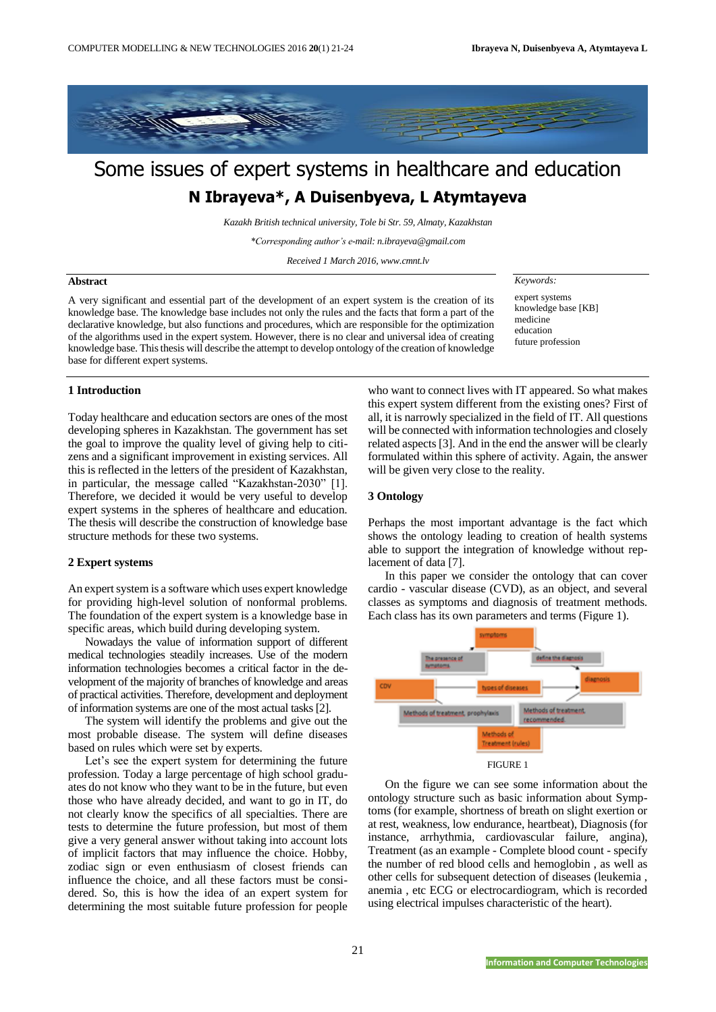

# Some issues of expert systems in healthcare and education **N Ibrayeva\*, A Duisenbyeva, L Atymtayeva**

*Kazakh British technical university, Tole bi Str. 59, Almaty, Kazakhstan*

*\*Corresponding author's e-mail[: n.ibrayeva@gmail.com](mailto:n.ibrayeva@gmail.com)*

*Received 1 March 2016, www.cmnt.lv*

#### **Abstract**

A very significant and essential part of the development of an expert system is the creation of its knowledge base. The knowledge base includes not only the rules and the facts that form a part of the declarative knowledge, but also functions and procedures, which are responsible for the optimization of the algorithms used in the expert system. However, there is no clear and universal idea of creating knowledge base. This thesis will describe the attempt to develop ontology of the creation of knowledge base for different expert systems.

#### *Keywords:*

expert systems knowledge base [KB] medicine education future profession

## **1 Introduction**

Today healthcare and education sectors are ones of the most developing spheres in Kazakhstan. The government has set the goal to improve the quality level of giving help to citizens and a significant improvement in existing services. All this is reflected in the letters of the president of Kazakhstan, in particular, the message called "Kazakhstan-2030" [1]. Therefore, we decided it would be very useful to develop expert systems in the spheres of healthcare and education. The thesis will describe the construction of knowledge base structure methods for these two systems.

#### **2 Expert systems**

An expert system is a software which uses expert knowledge for providing high-level solution of nonformal problems. The foundation of the expert system is a knowledge base in specific areas, which build during developing system.

Nowadays the value of information support of different medical technologies steadily increases. Use of the modern information technologies becomes a critical factor in the development of the majority of branches of knowledge and areas of practical activities. Therefore, development and deployment of information systems are one of the most actual tasks [2].

The system will identify the problems and give out the most probable disease. The system will define diseases based on rules which were set by experts.

Let's see the expert system for determining the future profession. Today a large percentage of high school graduates do not know who they want to be in the future, but even those who have already decided, and want to go in IT, do not clearly know the specifics of all specialties. There are tests to determine the future profession, but most of them give a very general answer without taking into account lots of implicit factors that may influence the choice. Hobby, zodiac sign or even enthusiasm of closest friends can influence the choice, and all these factors must be considered. So, this is how the idea of an expert system for determining the most suitable future profession for people

who want to connect lives with IT appeared. So what makes this expert system different from the existing ones? First of all, it is narrowly specialized in the field of IT. All questions will be connected with information technologies and closely related aspects [3]. And in the end the answer will be clearly formulated within this sphere of activity. Again, the answer will be given very close to the reality.

## **3 Ontology**

Perhaps the most important advantage is the fact which shows the ontology leading to creation of health systems able to support the integration of knowledge without replacement of data [7].

In this paper we consider the ontology that can cover cardio - vascular disease (CVD), as an object, and several classes as symptoms and diagnosis of treatment methods. Each class has its own parameters and terms (Figure 1).



FIGURE 1

On the figure we can see some information about the ontology structure such as basic information about Symptoms (for example, shortness of breath on slight exertion or at rest, weakness, low endurance, heartbeat), Diagnosis (for instance, arrhythmia, cardiovascular failure, angina), Treatment (as an example - Complete blood count - specify the number of red blood cells and hemoglobin , as well as other cells for subsequent detection of diseases (leukemia , anemia , etc ECG or electrocardiogram, which is recorded using electrical impulses characteristic of the heart).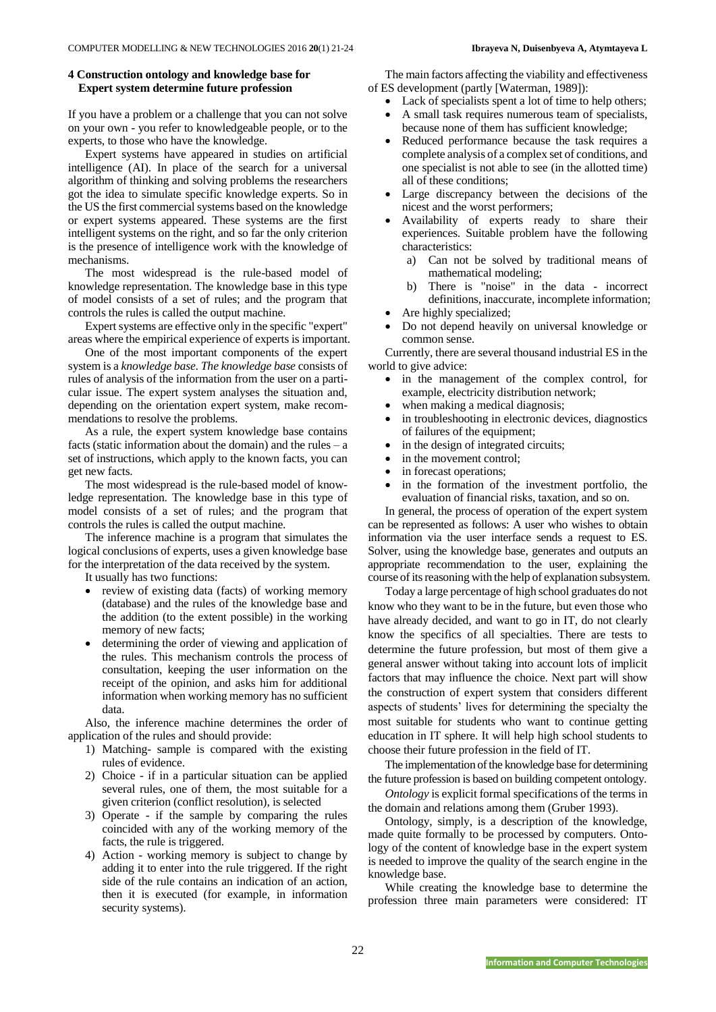## **4 Construction ontology and knowledge base for Expert system determine future profession**

If you have a problem or a challenge that you can not solve on your own - you refer to knowledgeable people, or to the experts, to those who have the knowledge.

Expert systems have appeared in studies on artificial intelligence (AI). In place of the search for a universal algorithm of thinking and solving problems the researchers got the idea to simulate specific knowledge experts. So in the US the first commercial systems based on the knowledge or expert systems appeared. These systems are the first intelligent systems on the right, and so far the only criterion is the presence of intelligence work with the knowledge of mechanisms.

The most widespread is the rule-based model of knowledge representation. The knowledge base in this type of model consists of a set of rules; and the program that controls the rules is called the output machine.

Expert systems are effective only in the specific "expert" areas where the empirical experience of experts is important.

One of the most important components of the expert system is a *knowledge base*. *The knowledge base* consists of rules of analysis of the information from the user on a particular issue. The expert system analyses the situation and, depending on the orientation expert system, make recommendations to resolve the problems.

As a rule, the expert system knowledge base contains facts (static information about the domain) and the rules  $-$  a set of instructions, which apply to the known facts, you can get new facts.

The most widespread is the rule-based model of knowledge representation. The knowledge base in this type of model consists of a set of rules; and the program that controls the rules is called the output machine.

The inference machine is a program that simulates the logical conclusions of experts, uses a given knowledge base for the interpretation of the data received by the system.

It usually has two functions:

- review of existing data (facts) of working memory (database) and the rules of the knowledge base and the addition (to the extent possible) in the working memory of new facts;
- determining the order of viewing and application of the rules. This mechanism controls the process of consultation, keeping the user information on the receipt of the opinion, and asks him for additional information when working memory has no sufficient data.

Also, the inference machine determines the order of application of the rules and should provide:

- 1) Matching- sample is compared with the existing rules of evidence.
- 2) Choice if in a particular situation can be applied several rules, one of them, the most suitable for a given criterion (conflict resolution), is selected
- 3) Operate if the sample by comparing the rules coincided with any of the working memory of the facts, the rule is triggered.
- 4) Action working memory is subject to change by adding it to enter into the rule triggered. If the right side of the rule contains an indication of an action, then it is executed (for example, in information security systems).

The main factors affecting the viability and effectiveness of ES development (partly [Waterman, 1989]):

- Lack of specialists spent a lot of time to help others;
- A small task requires numerous team of specialists, because none of them has sufficient knowledge;
- Reduced performance because the task requires a complete analysis of a complex set of conditions, and one specialist is not able to see (in the allotted time) all of these conditions;
- Large discrepancy between the decisions of the nicest and the worst performers;
- Availability of experts ready to share their experiences. Suitable problem have the following characteristics:
	- a) Can not be solved by traditional means of mathematical modeling;
	- b) There is "noise" in the data incorrect definitions, inaccurate, incomplete information; Are highly specialized;
- Do not depend heavily on universal knowledge or common sense.

Currently, there are several thousand industrial ES in the world to give advice:

- in the management of the complex control, for example, electricity distribution network;
- when making a medical diagnosis;
- in troubleshooting in electronic devices, diagnostics of failures of the equipment;
- in the design of integrated circuits;
- in the movement control;
- in forecast operations;
- in the formation of the investment portfolio, the evaluation of financial risks, taxation, and so on.

In general, the process of operation of the expert system can be represented as follows: A user who wishes to obtain information via the user interface sends a request to ES. Solver, using the knowledge base, generates and outputs an appropriate recommendation to the user, explaining the course of its reasoning with the help of explanation subsystem.

Today a large percentage of high school graduates do not know who they want to be in the future, but even those who have already decided, and want to go in IT, do not clearly know the specifics of all specialties. There are tests to determine the future profession, but most of them give a general answer without taking into account lots of implicit factors that may influence the choice. Next part will show the construction of expert system that considers different aspects of students' lives for determining the specialty the most suitable for students who want to continue getting education in IT sphere. It will help high school students to choose their future profession in the field of IT.

The implementation of the knowledge base for determining the future profession is based on building competent ontology.

*Ontology* is explicit formal specifications of the terms in the domain and relations among them (Gruber 1993).

Ontology, simply, is a description of the knowledge, made quite formally to be processed by computers. Ontology of the content of knowledge base in the expert system is needed to improve the quality of the search engine in the knowledge base.

While creating the knowledge base to determine the profession three main parameters were considered: IT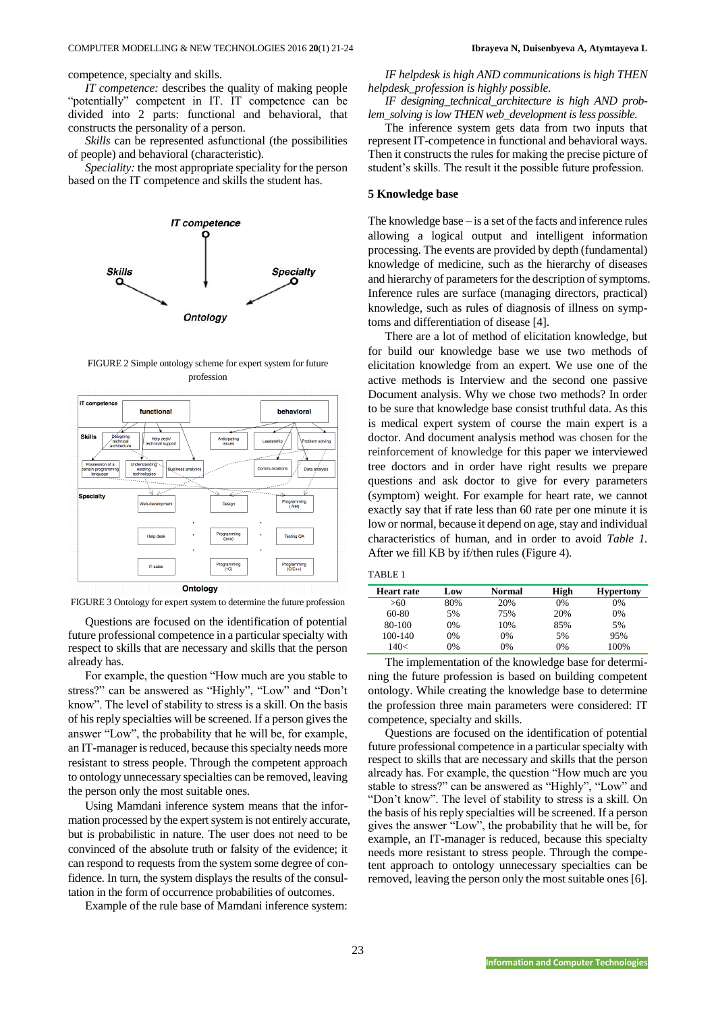competence, specialty and skills.

*IT competence:* describes the quality of making people "potentially" competent in IT. IT competence can be divided into 2 parts: functional and behavioral, that constructs the personality of a person.

*Skills* can be represented asfunctional (the possibilities of people) and behavioral (characteristic).

*Speciality:* the most appropriate speciality for the person based on the IT competence and skills the student has.



FIGURE 2 Simple ontology scheme for expert system for future profession



FIGURE 3 Ontology for expert system to determine the future profession

Questions are focused on the identification of potential future professional competence in a particular specialty with respect to skills that are necessary and skills that the person already has.

For example, the question "How much are you stable to stress?" can be answered as "Highly", "Low" and "Don't know". The level of stability to stress is a skill. On the basis of his reply specialties will be screened. If a person gives the answer "Low", the probability that he will be, for example, an IT-manager is reduced, because this specialty needs more resistant to stress people. Through the competent approach to ontology unnecessary specialties can be removed, leaving the person only the most suitable ones.

Using Mamdani inference system means that the information processed by the expert system is not entirely accurate, but is probabilistic in nature. The user does not need to be convinced of the absolute truth or falsity of the evidence; it can respond to requests from the system some degree of confidence. In turn, the system displays the results of the consultation in the form of occurrence probabilities of outcomes.

Example of the rule base of Mamdani inference system:

*IF helpdesk is high AND communications is high THEN helpdesk\_profession is highly possible.* 

*IF designing\_technical\_architecture is high AND problem\_solving is low THEN web\_development is less possible.* 

The inference system gets data from two inputs that represent IT-competence in functional and behavioral ways. Then it constructs the rules for making the precise picture of student's skills. The result it the possible future profession.

## **5 Knowledge base**

The knowledge base – is a set of the facts and inference rules allowing a logical output and intelligent information processing. The events are provided by depth (fundamental) knowledge of medicine, such as the hierarchy of diseases and hierarchy of parameters for the description of symptoms. Inference rules are surface (managing directors, practical) knowledge, such as rules of diagnosis of illness on symptoms and differentiation of disease [4].

There are a lot of method of elicitation knowledge, but for build our knowledge base we use two methods of elicitation knowledge from an expert. We use one of the active methods is Interview and the second one passive Document analysis. Why we chose two methods? In order to be sure that knowledge base consist truthful data. As this is medical expert system of course the main expert is a doctor. And document analysis method was chosen for the reinforcement of knowledge for this paper we interviewed tree doctors and in order have right results we prepare questions and ask doctor to give for every parameters (symptom) weight. For example for heart rate, we cannot exactly say that if rate less than 60 rate per one minute it is low or normal, because it depend on age, stay and individual characteristics of human, and in order to avoid *Table 1.* After we fill KB by if/then rules (Figure 4)*.*

| TABLE |
|-------|
|-------|

| Heart rate | Low | Normal | High | <b>Hypertony</b> |
|------------|-----|--------|------|------------------|
| >60        | 80% | 20%    | 0%   | 0%               |
| 60-80      | 5%  | 75%    | 20%  | 0%               |
| 80-100     | 0%  | 10%    | 85%  | 5%               |
| 100-140    | 0%  | 0%     | 5%   | 95%              |
| 140<       | 0%  | 0%     | 0%   | 100%             |

The implementation of the knowledge base for determining the future profession is based on building competent ontology. While creating the knowledge base to determine the profession three main parameters were considered: IT competence, specialty and skills.

Questions are focused on the identification of potential future professional competence in a particular specialty with respect to skills that are necessary and skills that the person already has. For example, the question "How much are you stable to stress?" can be answered as "Highly", "Low" and "Don't know". The level of stability to stress is a skill. On the basis of his reply specialties will be screened. If a person gives the answer "Low", the probability that he will be, for example, an IT-manager is reduced, because this specialty needs more resistant to stress people. Through the competent approach to ontology unnecessary specialties can be removed, leaving the person only the most suitable ones [6].